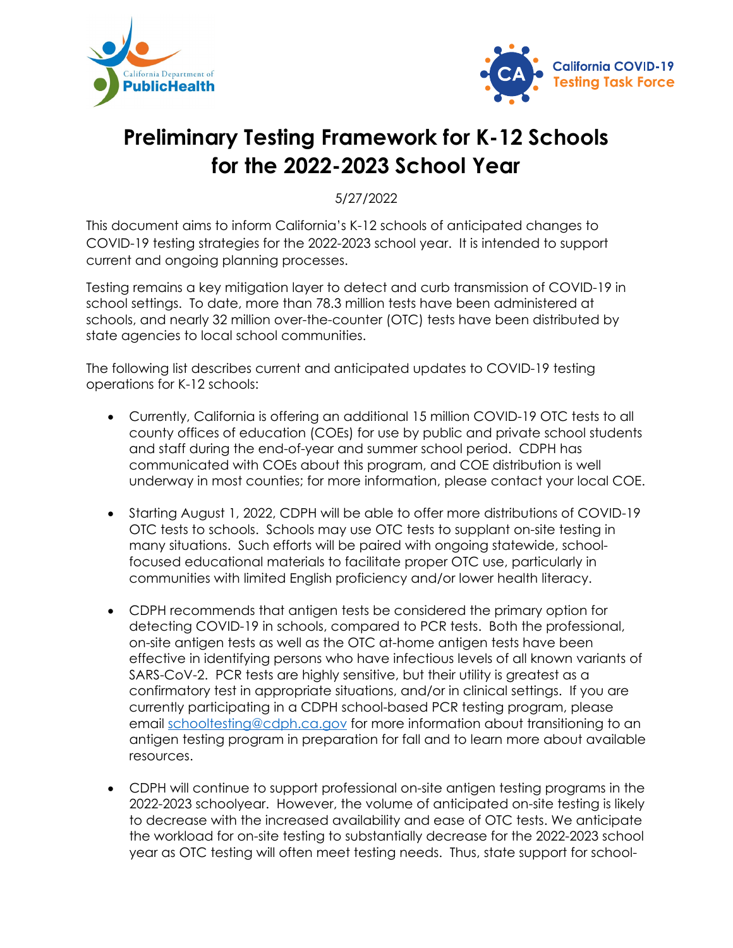



## **Preliminary Testing Framework for K-12 Schools for the 2022-2023 School Year**

5/27/2022

This document aims to inform California's K-12 schools of anticipated changes to COVID-19 testing strategies for the 2022-2023 school year. It is intended to support current and ongoing planning processes.

Testing remains a key mitigation layer to detect and curb transmission of COVID-19 in school settings. To date, more than 78.3 million tests have been administered at schools, and nearly 32 million over-the-counter (OTC) tests have been distributed by state agencies to local school communities.

The following list describes current and anticipated updates to COVID-19 testing operations for K-12 schools:

- Currently, California is offering an additional 15 million COVID-19 OTC tests to all county offices of education (COEs) for use by public and private school students and staff during the end-of-year and summer school period. CDPH has communicated with COEs about this program, and COE distribution is well underway in most counties; for more information, please contact your local COE.
- Starting August 1, 2022, CDPH will be able to offer more distributions of COVID-19 OTC tests to schools. Schools may use OTC tests to supplant on-site testing in many situations. Such efforts will be paired with ongoing statewide, schoolfocused educational materials to facilitate proper OTC use, particularly in communities with limited English proficiency and/or lower health literacy.
- CDPH recommends that antigen tests be considered the primary option for detecting COVID-19 in schools, compared to PCR tests. Both the professional, on-site antigen tests as well as the OTC at-home antigen tests have been effective in identifying persons who have infectious levels of all known variants of SARS-CoV-2. PCR tests are highly sensitive, but their utility is greatest as a confirmatory test in appropriate situations, and/or in clinical settings. If you are currently participating in a CDPH school-based PCR testing program, please email [schooltesting@cdph.ca.gov](mailto:schooltesting@cdph.ca.gov) for more information about transitioning to an antigen testing program in preparation for fall and to learn more about available resources.
- CDPH will continue to support professional on-site antigen testing programs in the 2022-2023 schoolyear. However, the volume of anticipated on-site testing is likely to decrease with the increased availability and ease of OTC tests. We anticipate the workload for on-site testing to substantially decrease for the 2022-2023 school year as OTC testing will often meet testing needs. Thus, state support for school-